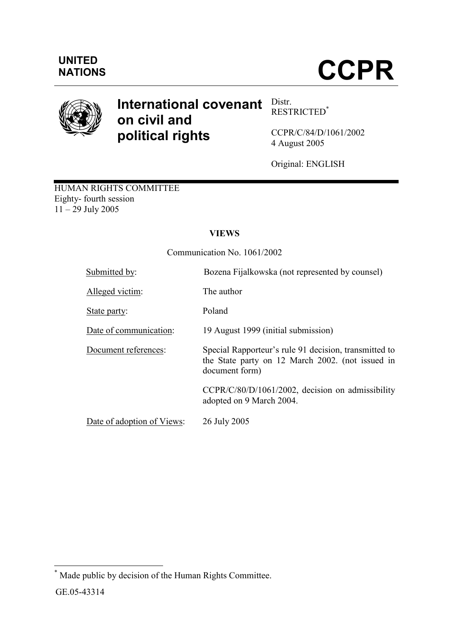

# International covenant  $\frac{\text{Dist}}{\text{best}}$ on civil and political rights

RESTRICTED\*

CCPR/C/84/D/1061/2002 4 August 2005

Original: ENGLISH

HUMAN RIGHTS COMMITTEE Eighty- fourth session  $11 - 29$  July 2005

## VIEWS

Communication No. 1061/2002

| Submitted by:              | Bozena Fijalkowska (not represented by counsel)                                                                             |
|----------------------------|-----------------------------------------------------------------------------------------------------------------------------|
| Alleged victim:            | The author                                                                                                                  |
| State party:               | Poland                                                                                                                      |
| Date of communication:     | 19 August 1999 (initial submission)                                                                                         |
| Document references:       | Special Rapporteur's rule 91 decision, transmitted to<br>the State party on 12 March 2002. (not issued in<br>document form) |
|                            | CCPR/C/80/D/1061/2002, decision on admissibility<br>adopted on 9 March 2004.                                                |
| Date of adoption of Views: | 26 July 2005                                                                                                                |

 \* Made public by decision of the Human Rights Committee.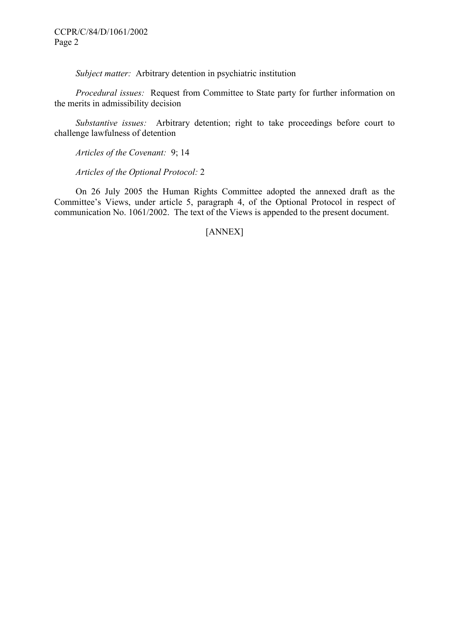Subject matter: Arbitrary detention in psychiatric institution

 Procedural issues: Request from Committee to State party for further information on the merits in admissibility decision

 Substantive issues: Arbitrary detention; right to take proceedings before court to challenge lawfulness of detention

Articles of the Covenant: 9; 14

Articles of the Optional Protocol: 2

 On 26 July 2005 the Human Rights Committee adopted the annexed draft as the Committee's Views, under article 5, paragraph 4, of the Optional Protocol in respect of communication No. 1061/2002. The text of the Views is appended to the present document.

[ANNEX]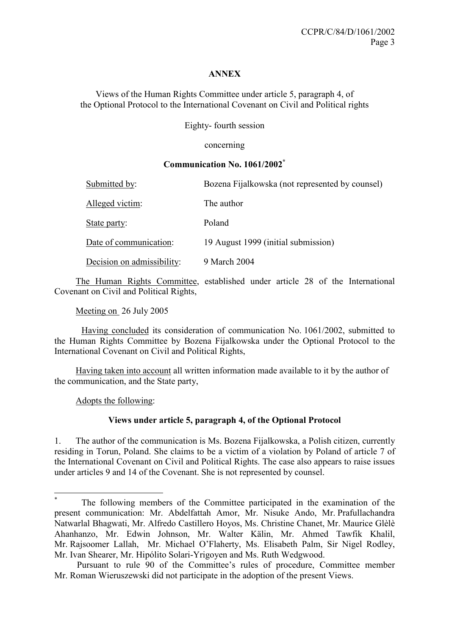## ANNEX

Views of the Human Rights Committee under article 5, paragraph 4, of the Optional Protocol to the International Covenant on Civil and Political rights

Eighty- fourth session

concerning

#### Communication No. 1061/2002\*

| Submitted by:              | Bozena Fijalkowska (not represented by counsel) |
|----------------------------|-------------------------------------------------|
| Alleged victim:            | The author                                      |
| State party:               | Poland                                          |
| Date of communication:     | 19 August 1999 (initial submission)             |
| Decision on admissibility: | 9 March 2004                                    |

 The Human Rights Committee, established under article 28 of the International Covenant on Civil and Political Rights,

Meeting on 26 July 2005

Having concluded its consideration of communication No. 1061/2002, submitted to the Human Rights Committee by Bozena Fijalkowska under the Optional Protocol to the International Covenant on Civil and Political Rights,

 Having taken into account all written information made available to it by the author of the communication, and the State party,

Adopts the following:

 $\overline{a}$ 

## Views under article 5, paragraph 4, of the Optional Protocol

1. The author of the communication is Ms. Bozena Fijalkowska, a Polish citizen, currently residing in Torun, Poland. She claims to be a victim of a violation by Poland of article 7 of the International Covenant on Civil and Political Rights. The case also appears to raise issues under articles 9 and 14 of the Covenant. She is not represented by counsel.

<sup>\*</sup> The following members of the Committee participated in the examination of the present communication: Mr. Abdelfattah Amor, Mr. Nisuke Ando, Mr. Prafullachandra Natwarlal Bhagwati, Mr. Alfredo Castillero Hoyos, Ms. Christine Chanet, Mr. Maurice Glèlè Ahanhanzo, Mr. Edwin Johnson, Mr. Walter Kälin, Mr. Ahmed Tawfik Khalil, Mr. Rajsoomer Lallah, Mr. Michael O'Flaherty, Ms. Elisabeth Palm, Sir Nigel Rodley, Mr. Ivan Shearer, Mr. Hipólito Solari-Yrigoyen and Ms. Ruth Wedgwood.

Pursuant to rule 90 of the Committee's rules of procedure, Committee member Mr. Roman Wieruszewski did not participate in the adoption of the present Views.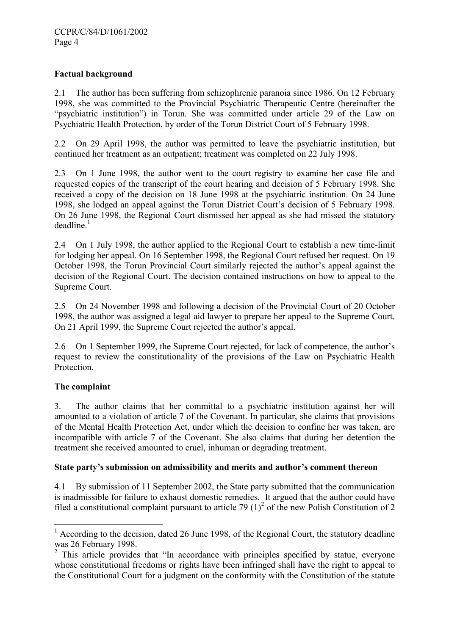## Factual background

2.1 The author has been suffering from schizophrenic paranoia since 1986. On 12 February 1998, she was committed to the Provincial Psychiatric Therapeutic Centre (hereinafter the "psychiatric institution") in Torun. She was committed under article 29 of the Law on Psychiatric Health Protection, by order of the Torun District Court of 5 February 1998.

2.2 On 29 April 1998, the author was permitted to leave the psychiatric institution, but continued her treatment as an outpatient; treatment was completed on 22 July 1998.

2.3 On 1 June 1998, the author went to the court registry to examine her case file and requested copies of the transcript of the court hearing and decision of 5 February 1998. She received a copy of the decision on 18 June 1998 at the psychiatric institution. On 24 June 1998, she lodged an appeal against the Torun District Court's decision of 5 February 1998. On 26 June 1998, the Regional Court dismissed her appeal as she had missed the statutory deadline.<sup>1</sup>

2.4 On 1 July 1998, the author applied to the Regional Court to establish a new time-limit for lodging her appeal. On 16 September 1998, the Regional Court refused her request. On 19 October 1998, the Torun Provincial Court similarly rejected the author's appeal against the decision of the Regional Court. The decision contained instructions on how to appeal to the Supreme Court.

2.5 On 24 November 1998 and following a decision of the Provincial Court of 20 October 1998, the author was assigned a legal aid lawyer to prepare her appeal to the Supreme Court. On 21 April 1999, the Supreme Court rejected the author's appeal.

2.6 On 1 September 1999, the Supreme Court rejected, for lack of competence, the author's request to review the constitutionality of the provisions of the Law on Psychiatric Health Protection.

## The complaint

 $\overline{a}$ 

3. The author claims that her committal to a psychiatric institution against her will amounted to a violation of article 7 of the Covenant. In particular, she claims that provisions of the Mental Health Protection Act, under which the decision to confine her was taken, are incompatible with article 7 of the Covenant. She also claims that during her detention the treatment she received amounted to cruel, inhuman or degrading treatment.

#### State party's submission on admissibility and merits and author's comment thereon

4.1 By submission of 11 September 2002, the State party submitted that the communication is inadmissible for failure to exhaust domestic remedies. It argued that the author could have filed a constitutional complaint pursuant to article 79  $(1)^2$  of the new Polish Constitution of 2

 $1$  According to the decision, dated 26 June 1998, of the Regional Court, the statutory deadline was 26 February 1998.

<sup>&</sup>lt;sup>2</sup> This article provides that "In accordance with principles specified by statue, everyone whose constitutional freedoms or rights have been infringed shall have the right to appeal to the Constitutional Court for a judgment on the conformity with the Constitution of the statute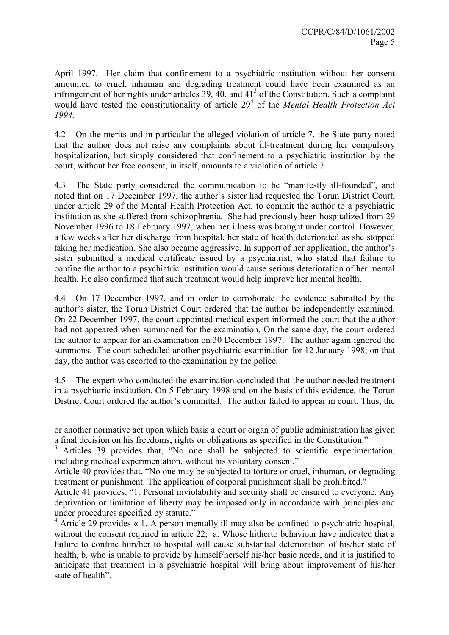April 1997. Her claim that confinement to a psychiatric institution without her consent amounted to cruel, inhuman and degrading treatment could have been examined as an infringement of her rights under articles 39, 40, and  $41<sup>3</sup>$  of the Constitution. Such a complaint would have tested the constitutionality of article  $29<sup>4</sup>$  of the Mental Health Protection Act 1994.

4.2 On the merits and in particular the alleged violation of article 7, the State party noted that the author does not raise any complaints about ill-treatment during her compulsory hospitalization, but simply considered that confinement to a psychiatric institution by the court, without her free consent, in itself, amounts to a violation of article 7.

4.3 The State party considered the communication to be "manifestly ill-founded", and noted that on 17 December 1997, the author's sister had requested the Torun District Court, under article 29 of the Mental Health Protection Act, to commit the author to a psychiatric institution as she suffered from schizophrenia. She had previously been hospitalized from 29 November 1996 to 18 February 1997, when her illness was brought under control. However, a few weeks after her discharge from hospital, her state of health deteriorated as she stopped taking her medication. She also became aggressive. In support of her application, the author's sister submitted a medical certificate issued by a psychiatrist, who stated that failure to confine the author to a psychiatric institution would cause serious deterioration of her mental health. He also confirmed that such treatment would help improve her mental health.

4.4 On 17 December 1997, and in order to corroborate the evidence submitted by the author's sister, the Torun District Court ordered that the author be independently examined. On 22 December 1997, the court-appointed medical expert informed the court that the author had not appeared when summoned for the examination. On the same day, the court ordered the author to appear for an examination on 30 December 1997. The author again ignored the summons. The court scheduled another psychiatric examination for 12 January 1998; on that day, the author was escorted to the examination by the police.

4.5 The expert who conducted the examination concluded that the author needed treatment in a psychiatric institution. On 5 February 1998 and on the basis of this evidence, the Torun District Court ordered the author's committal. The author failed to appear in court. Thus, the

 $\overline{a}$ 

or another normative act upon which basis a court or organ of public administration has given a final decision on his freedoms, rights or obligations as specified in the Constitution."

<sup>&</sup>lt;sup>3</sup> Articles 39 provides that, "No one shall be subjected to scientific experimentation, including medical experimentation, without his voluntary consent."

Article 40 provides that, "No one may be subjected to torture or cruel, inhuman, or degrading treatment or punishment. The application of corporal punishment shall be prohibited."

Article 41 provides, "1. Personal inviolability and security shall be ensured to everyone. Any deprivation or limitation of liberty may be imposed only in accordance with principles and under procedures specified by statute."

<sup>&</sup>lt;sup>4</sup> Article 29 provides « 1. A person mentally ill may also be confined to psychiatric hospital, without the consent required in article 22; a. Whose hitherto behaviour have indicated that a failure to confine him/her to hospital will cause substantial deterioration of his/her state of health, b. who is unable to provide by himself/herself his/her basic needs, and it is justified to anticipate that treatment in a psychiatric hospital will bring about improvement of his/her state of health".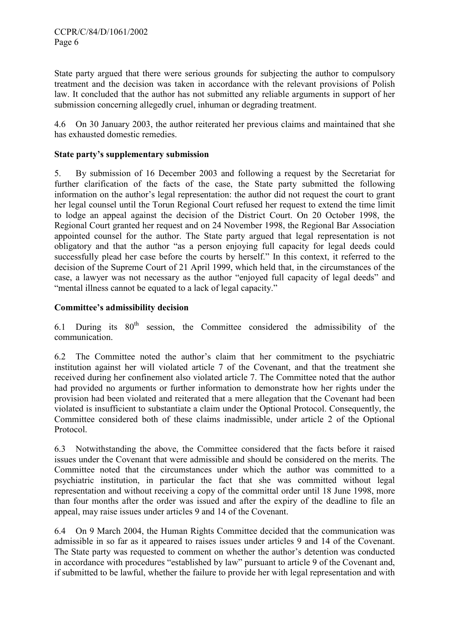State party argued that there were serious grounds for subjecting the author to compulsory treatment and the decision was taken in accordance with the relevant provisions of Polish law. It concluded that the author has not submitted any reliable arguments in support of her submission concerning allegedly cruel, inhuman or degrading treatment.

4.6 On 30 January 2003, the author reiterated her previous claims and maintained that she has exhausted domestic remedies.

#### State party's supplementary submission

5. By submission of 16 December 2003 and following a request by the Secretariat for further clarification of the facts of the case, the State party submitted the following information on the author's legal representation: the author did not request the court to grant her legal counsel until the Torun Regional Court refused her request to extend the time limit to lodge an appeal against the decision of the District Court. On 20 October 1998, the Regional Court granted her request and on 24 November 1998, the Regional Bar Association appointed counsel for the author. The State party argued that legal representation is not obligatory and that the author "as a person enjoying full capacity for legal deeds could successfully plead her case before the courts by herself." In this context, it referred to the decision of the Supreme Court of 21 April 1999, which held that, in the circumstances of the case, a lawyer was not necessary as the author "enjoyed full capacity of legal deeds" and "mental illness cannot be equated to a lack of legal capacity."

## Committee's admissibility decision

6.1 During its  $80<sup>th</sup>$  session, the Committee considered the admissibility of the communication.

6.2 The Committee noted the author's claim that her commitment to the psychiatric institution against her will violated article 7 of the Covenant, and that the treatment she received during her confinement also violated article 7. The Committee noted that the author had provided no arguments or further information to demonstrate how her rights under the provision had been violated and reiterated that a mere allegation that the Covenant had been violated is insufficient to substantiate a claim under the Optional Protocol. Consequently, the Committee considered both of these claims inadmissible, under article 2 of the Optional Protocol.

6.3 Notwithstanding the above, the Committee considered that the facts before it raised issues under the Covenant that were admissible and should be considered on the merits. The Committee noted that the circumstances under which the author was committed to a psychiatric institution, in particular the fact that she was committed without legal representation and without receiving a copy of the committal order until 18 June 1998, more than four months after the order was issued and after the expiry of the deadline to file an appeal, may raise issues under articles 9 and 14 of the Covenant.

6.4 On 9 March 2004, the Human Rights Committee decided that the communication was admissible in so far as it appeared to raises issues under articles 9 and 14 of the Covenant. The State party was requested to comment on whether the author's detention was conducted in accordance with procedures "established by law" pursuant to article 9 of the Covenant and, if submitted to be lawful, whether the failure to provide her with legal representation and with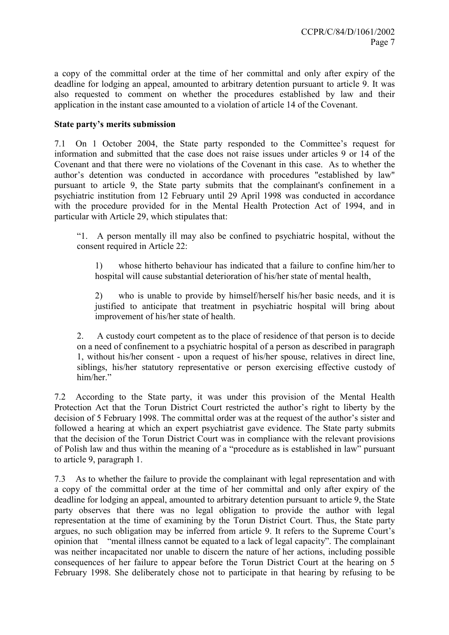a copy of the committal order at the time of her committal and only after expiry of the deadline for lodging an appeal, amounted to arbitrary detention pursuant to article 9. It was also requested to comment on whether the procedures established by law and their application in the instant case amounted to a violation of article 14 of the Covenant.

## State party's merits submission

7.1 On 1 October 2004, the State party responded to the Committee's request for information and submitted that the case does not raise issues under articles 9 or 14 of the Covenant and that there were no violations of the Covenant in this case. As to whether the author's detention was conducted in accordance with procedures "established by law" pursuant to article 9, the State party submits that the complainant's confinement in a psychiatric institution from 12 February until 29 April 1998 was conducted in accordance with the procedure provided for in the Mental Health Protection Act of 1994, and in particular with Article 29, which stipulates that:

"1. A person mentally ill may also be confined to psychiatric hospital, without the consent required in Article 22:

1) whose hitherto behaviour has indicated that a failure to confine him/her to hospital will cause substantial deterioration of his/her state of mental health,

2) who is unable to provide by himself/herself his/her basic needs, and it is justified to anticipate that treatment in psychiatric hospital will bring about improvement of his/her state of health.

2. A custody court competent as to the place of residence of that person is to decide on a need of confinement to a psychiatric hospital of a person as described in paragraph 1, without his/her consent - upon a request of his/her spouse, relatives in direct line, siblings, his/her statutory representative or person exercising effective custody of him/her."

7.2 According to the State party, it was under this provision of the Mental Health Protection Act that the Torun District Court restricted the author's right to liberty by the decision of 5 February 1998. The committal order was at the request of the author's sister and followed a hearing at which an expert psychiatrist gave evidence. The State party submits that the decision of the Torun District Court was in compliance with the relevant provisions of Polish law and thus within the meaning of a "procedure as is established in law" pursuant to article 9, paragraph 1.

7.3 As to whether the failure to provide the complainant with legal representation and with a copy of the committal order at the time of her committal and only after expiry of the deadline for lodging an appeal, amounted to arbitrary detention pursuant to article 9, the State party observes that there was no legal obligation to provide the author with legal representation at the time of examining by the Torun District Court. Thus, the State party argues, no such obligation may be inferred from article 9. It refers to the Supreme Court's opinion that "mental illness cannot be equated to a lack of legal capacity". The complainant was neither incapacitated nor unable to discern the nature of her actions, including possible consequences of her failure to appear before the Torun District Court at the hearing on 5 February 1998. She deliberately chose not to participate in that hearing by refusing to be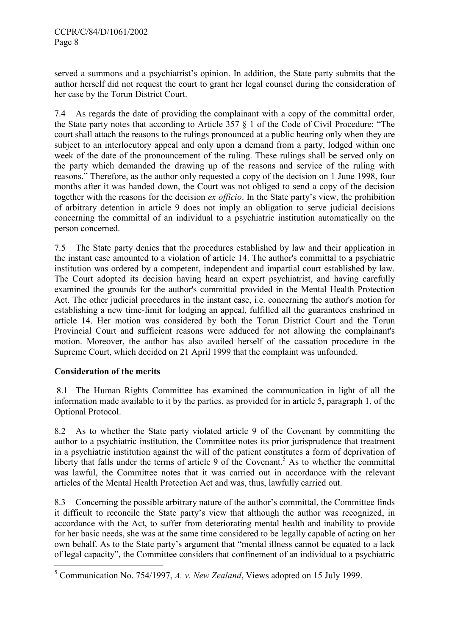served a summons and a psychiatrist's opinion. In addition, the State party submits that the author herself did not request the court to grant her legal counsel during the consideration of her case by the Torun District Court.

7.4 As regards the date of providing the complainant with a copy of the committal order, the State party notes that according to Article 357 § 1 of the Code of Civil Procedure: "The court shall attach the reasons to the rulings pronounced at a public hearing only when they are subject to an interlocutory appeal and only upon a demand from a party, lodged within one week of the date of the pronouncement of the ruling. These rulings shall be served only on the party which demanded the drawing up of the reasons and service of the ruling with reasons." Therefore, as the author only requested a copy of the decision on 1 June 1998, four months after it was handed down, the Court was not obliged to send a copy of the decision together with the reasons for the decision ex officio. In the State party's view, the prohibition of arbitrary detention in article 9 does not imply an obligation to serve judicial decisions concerning the committal of an individual to a psychiatric institution automatically on the person concerned.

7.5 The State party denies that the procedures established by law and their application in the instant case amounted to a violation of article 14. The author's committal to a psychiatric institution was ordered by a competent, independent and impartial court established by law. The Court adopted its decision having heard an expert psychiatrist, and having carefully examined the grounds for the author's committal provided in the Mental Health Protection Act. The other judicial procedures in the instant case, i.e. concerning the author's motion for establishing a new time-limit for lodging an appeal, fulfilled all the guarantees enshrined in article 14. Her motion was considered by both the Torun District Court and the Torun Provincial Court and sufficient reasons were adduced for not allowing the complainant's motion. Moreover, the author has also availed herself of the cassation procedure in the Supreme Court, which decided on 21 April 1999 that the complaint was unfounded.

## Consideration of the merits

 $\overline{a}$ 

 8.1 The Human Rights Committee has examined the communication in light of all the information made available to it by the parties, as provided for in article 5, paragraph 1, of the Optional Protocol.

8.2 As to whether the State party violated article 9 of the Covenant by committing the author to a psychiatric institution, the Committee notes its prior jurisprudence that treatment in a psychiatric institution against the will of the patient constitutes a form of deprivation of liberty that falls under the terms of article 9 of the Covenant.<sup>5</sup> As to whether the committal was lawful, the Committee notes that it was carried out in accordance with the relevant articles of the Mental Health Protection Act and was, thus, lawfully carried out.

8.3 Concerning the possible arbitrary nature of the author's committal, the Committee finds it difficult to reconcile the State party's view that although the author was recognized, in accordance with the Act, to suffer from deteriorating mental health and inability to provide for her basic needs, she was at the same time considered to be legally capable of acting on her own behalf. As to the State party's argument that "mental illness cannot be equated to a lack of legal capacity", the Committee considers that confinement of an individual to a psychiatric

<sup>&</sup>lt;sup>5</sup> Communication No. 754/1997, A. v. New Zealand, Views adopted on 15 July 1999.